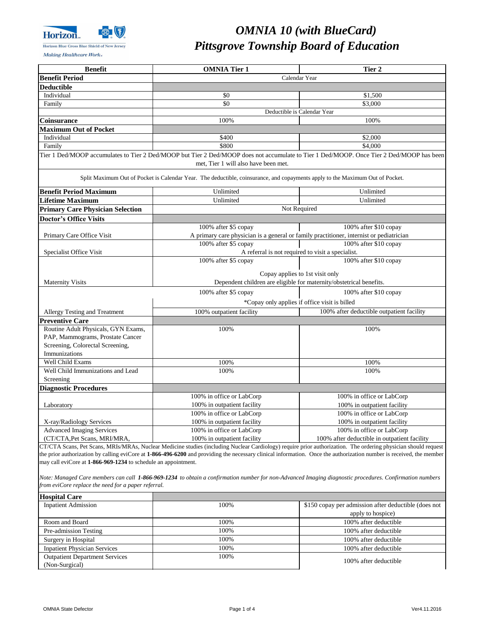

Making Healthcare Work«

| <b>Hospital Care</b>                  |      |                                                      |  |
|---------------------------------------|------|------------------------------------------------------|--|
| <b>Inpatient Admission</b>            | 100% | \$150 copay per admission after deductible (does not |  |
|                                       |      | apply to hospice)                                    |  |
| Room and Board                        | 100% | 100% after deductible                                |  |
| Pre-admission Testing                 | 100% | 100% after deductible                                |  |
| Surgery in Hospital                   | 100% | 100% after deductible                                |  |
| <b>Inpatient Physician Services</b>   | 100% | 100% after deductible                                |  |
| <b>Outpatient Department Services</b> | 100% | 100% after deductible                                |  |
| (Non-Surgical)                        |      |                                                      |  |

| Calendar Year<br><b>Benefit Period</b><br><b>Deductible</b><br>Individual<br>\$0<br>\$1,500<br>\$0<br>\$3,000<br>Family<br>Deductible is Calendar Year<br>100%<br>100%<br><b>Coinsurance</b><br><b>Maximum Out of Pocket</b><br>Individual<br>\$400<br>\$2,000<br>\$800<br>\$4,000<br>Family<br>Tier 1 Ded/MOOP accumulates to Tier 2 Ded/MOOP but Tier 2 Ded/MOOP does not accumulate to Tier 1 Ded/MOOP. Once Tier 2 Ded/MOOP has been<br>met, Tier 1 will also have been met.<br>Split Maximum Out of Pocket is Calendar Year. The deductible, coinsurance, and copayments apply to the Maximum Out of Pocket.<br><b>Benefit Period Maximum</b><br>Unlimited<br>Unlimited<br><b>Lifetime Maximum</b><br>Unlimited<br>Unlimited<br>Not Required<br><b>Primary Care Physician Selection</b><br><b>Doctor's Office Visits</b><br>100% after \$5 copay<br>100% after \$10 copay<br>A primary care physician is a general or family practitioner, internist or pediatrician<br>Primary Care Office Visit<br>100% after \$5 copay<br>100% after \$10 copay<br>A referral is not required to visit a specialist.<br>Specialist Office Visit<br>100% after \$5 copay<br>100% after \$10 copay<br>Copay applies to 1st visit only<br>Dependent children are eligible for maternity/obstetrical benefits.<br><b>Maternity Visits</b><br>100% after \$5 copay<br>100% after \$10 copay<br>*Copay only applies if office visit is billed<br>100% after deductible outpatient facility<br>100% outpatient facility<br><b>Allergy Testing and Treatment</b><br><b>Preventive Care</b><br>Routine Adult Physicals, GYN Exams,<br>100%<br>100%<br>PAP, Mammograms, Prostate Cancer<br>Screening, Colorectal Screening,<br>Immunizations<br><b>Well Child Exams</b><br>100%<br>100%<br>Well Child Immunizations and Lead<br>100%<br>100%<br>Screening<br><b>Diagnostic Procedures</b><br>100% in office or LabCorp<br>100% in office or LabCorp<br>100% in outpatient facility<br>100% in outpatient facility<br>Laboratory<br>100% in office or LabCorp<br>100% in office or LabCorp<br>100% in outpatient facility<br>100% in outpatient facility<br>X-ray/Radiology Services<br>100% in office or LabCorp<br>100% in office or LabCorp<br><b>Advanced Imaging Services</b> | <b>Benefit</b>               | <b>OMNIA Tier 1</b>         | Tier 2                                       |
|-----------------------------------------------------------------------------------------------------------------------------------------------------------------------------------------------------------------------------------------------------------------------------------------------------------------------------------------------------------------------------------------------------------------------------------------------------------------------------------------------------------------------------------------------------------------------------------------------------------------------------------------------------------------------------------------------------------------------------------------------------------------------------------------------------------------------------------------------------------------------------------------------------------------------------------------------------------------------------------------------------------------------------------------------------------------------------------------------------------------------------------------------------------------------------------------------------------------------------------------------------------------------------------------------------------------------------------------------------------------------------------------------------------------------------------------------------------------------------------------------------------------------------------------------------------------------------------------------------------------------------------------------------------------------------------------------------------------------------------------------------------------------------------------------------------------------------------------------------------------------------------------------------------------------------------------------------------------------------------------------------------------------------------------------------------------------------------------------------------------------------------------------------------------------------------------------------------------------------------------------------------------|------------------------------|-----------------------------|----------------------------------------------|
|                                                                                                                                                                                                                                                                                                                                                                                                                                                                                                                                                                                                                                                                                                                                                                                                                                                                                                                                                                                                                                                                                                                                                                                                                                                                                                                                                                                                                                                                                                                                                                                                                                                                                                                                                                                                                                                                                                                                                                                                                                                                                                                                                                                                                                                                 |                              |                             |                                              |
|                                                                                                                                                                                                                                                                                                                                                                                                                                                                                                                                                                                                                                                                                                                                                                                                                                                                                                                                                                                                                                                                                                                                                                                                                                                                                                                                                                                                                                                                                                                                                                                                                                                                                                                                                                                                                                                                                                                                                                                                                                                                                                                                                                                                                                                                 |                              |                             |                                              |
|                                                                                                                                                                                                                                                                                                                                                                                                                                                                                                                                                                                                                                                                                                                                                                                                                                                                                                                                                                                                                                                                                                                                                                                                                                                                                                                                                                                                                                                                                                                                                                                                                                                                                                                                                                                                                                                                                                                                                                                                                                                                                                                                                                                                                                                                 |                              |                             |                                              |
|                                                                                                                                                                                                                                                                                                                                                                                                                                                                                                                                                                                                                                                                                                                                                                                                                                                                                                                                                                                                                                                                                                                                                                                                                                                                                                                                                                                                                                                                                                                                                                                                                                                                                                                                                                                                                                                                                                                                                                                                                                                                                                                                                                                                                                                                 |                              |                             |                                              |
|                                                                                                                                                                                                                                                                                                                                                                                                                                                                                                                                                                                                                                                                                                                                                                                                                                                                                                                                                                                                                                                                                                                                                                                                                                                                                                                                                                                                                                                                                                                                                                                                                                                                                                                                                                                                                                                                                                                                                                                                                                                                                                                                                                                                                                                                 |                              |                             |                                              |
|                                                                                                                                                                                                                                                                                                                                                                                                                                                                                                                                                                                                                                                                                                                                                                                                                                                                                                                                                                                                                                                                                                                                                                                                                                                                                                                                                                                                                                                                                                                                                                                                                                                                                                                                                                                                                                                                                                                                                                                                                                                                                                                                                                                                                                                                 |                              |                             |                                              |
|                                                                                                                                                                                                                                                                                                                                                                                                                                                                                                                                                                                                                                                                                                                                                                                                                                                                                                                                                                                                                                                                                                                                                                                                                                                                                                                                                                                                                                                                                                                                                                                                                                                                                                                                                                                                                                                                                                                                                                                                                                                                                                                                                                                                                                                                 |                              |                             |                                              |
|                                                                                                                                                                                                                                                                                                                                                                                                                                                                                                                                                                                                                                                                                                                                                                                                                                                                                                                                                                                                                                                                                                                                                                                                                                                                                                                                                                                                                                                                                                                                                                                                                                                                                                                                                                                                                                                                                                                                                                                                                                                                                                                                                                                                                                                                 |                              |                             |                                              |
|                                                                                                                                                                                                                                                                                                                                                                                                                                                                                                                                                                                                                                                                                                                                                                                                                                                                                                                                                                                                                                                                                                                                                                                                                                                                                                                                                                                                                                                                                                                                                                                                                                                                                                                                                                                                                                                                                                                                                                                                                                                                                                                                                                                                                                                                 |                              |                             |                                              |
|                                                                                                                                                                                                                                                                                                                                                                                                                                                                                                                                                                                                                                                                                                                                                                                                                                                                                                                                                                                                                                                                                                                                                                                                                                                                                                                                                                                                                                                                                                                                                                                                                                                                                                                                                                                                                                                                                                                                                                                                                                                                                                                                                                                                                                                                 |                              |                             |                                              |
|                                                                                                                                                                                                                                                                                                                                                                                                                                                                                                                                                                                                                                                                                                                                                                                                                                                                                                                                                                                                                                                                                                                                                                                                                                                                                                                                                                                                                                                                                                                                                                                                                                                                                                                                                                                                                                                                                                                                                                                                                                                                                                                                                                                                                                                                 |                              |                             |                                              |
|                                                                                                                                                                                                                                                                                                                                                                                                                                                                                                                                                                                                                                                                                                                                                                                                                                                                                                                                                                                                                                                                                                                                                                                                                                                                                                                                                                                                                                                                                                                                                                                                                                                                                                                                                                                                                                                                                                                                                                                                                                                                                                                                                                                                                                                                 |                              |                             |                                              |
|                                                                                                                                                                                                                                                                                                                                                                                                                                                                                                                                                                                                                                                                                                                                                                                                                                                                                                                                                                                                                                                                                                                                                                                                                                                                                                                                                                                                                                                                                                                                                                                                                                                                                                                                                                                                                                                                                                                                                                                                                                                                                                                                                                                                                                                                 |                              |                             |                                              |
|                                                                                                                                                                                                                                                                                                                                                                                                                                                                                                                                                                                                                                                                                                                                                                                                                                                                                                                                                                                                                                                                                                                                                                                                                                                                                                                                                                                                                                                                                                                                                                                                                                                                                                                                                                                                                                                                                                                                                                                                                                                                                                                                                                                                                                                                 |                              |                             |                                              |
|                                                                                                                                                                                                                                                                                                                                                                                                                                                                                                                                                                                                                                                                                                                                                                                                                                                                                                                                                                                                                                                                                                                                                                                                                                                                                                                                                                                                                                                                                                                                                                                                                                                                                                                                                                                                                                                                                                                                                                                                                                                                                                                                                                                                                                                                 |                              |                             |                                              |
|                                                                                                                                                                                                                                                                                                                                                                                                                                                                                                                                                                                                                                                                                                                                                                                                                                                                                                                                                                                                                                                                                                                                                                                                                                                                                                                                                                                                                                                                                                                                                                                                                                                                                                                                                                                                                                                                                                                                                                                                                                                                                                                                                                                                                                                                 |                              |                             |                                              |
|                                                                                                                                                                                                                                                                                                                                                                                                                                                                                                                                                                                                                                                                                                                                                                                                                                                                                                                                                                                                                                                                                                                                                                                                                                                                                                                                                                                                                                                                                                                                                                                                                                                                                                                                                                                                                                                                                                                                                                                                                                                                                                                                                                                                                                                                 |                              |                             |                                              |
|                                                                                                                                                                                                                                                                                                                                                                                                                                                                                                                                                                                                                                                                                                                                                                                                                                                                                                                                                                                                                                                                                                                                                                                                                                                                                                                                                                                                                                                                                                                                                                                                                                                                                                                                                                                                                                                                                                                                                                                                                                                                                                                                                                                                                                                                 |                              |                             |                                              |
|                                                                                                                                                                                                                                                                                                                                                                                                                                                                                                                                                                                                                                                                                                                                                                                                                                                                                                                                                                                                                                                                                                                                                                                                                                                                                                                                                                                                                                                                                                                                                                                                                                                                                                                                                                                                                                                                                                                                                                                                                                                                                                                                                                                                                                                                 |                              |                             |                                              |
|                                                                                                                                                                                                                                                                                                                                                                                                                                                                                                                                                                                                                                                                                                                                                                                                                                                                                                                                                                                                                                                                                                                                                                                                                                                                                                                                                                                                                                                                                                                                                                                                                                                                                                                                                                                                                                                                                                                                                                                                                                                                                                                                                                                                                                                                 |                              |                             |                                              |
|                                                                                                                                                                                                                                                                                                                                                                                                                                                                                                                                                                                                                                                                                                                                                                                                                                                                                                                                                                                                                                                                                                                                                                                                                                                                                                                                                                                                                                                                                                                                                                                                                                                                                                                                                                                                                                                                                                                                                                                                                                                                                                                                                                                                                                                                 |                              |                             |                                              |
|                                                                                                                                                                                                                                                                                                                                                                                                                                                                                                                                                                                                                                                                                                                                                                                                                                                                                                                                                                                                                                                                                                                                                                                                                                                                                                                                                                                                                                                                                                                                                                                                                                                                                                                                                                                                                                                                                                                                                                                                                                                                                                                                                                                                                                                                 |                              |                             |                                              |
|                                                                                                                                                                                                                                                                                                                                                                                                                                                                                                                                                                                                                                                                                                                                                                                                                                                                                                                                                                                                                                                                                                                                                                                                                                                                                                                                                                                                                                                                                                                                                                                                                                                                                                                                                                                                                                                                                                                                                                                                                                                                                                                                                                                                                                                                 |                              |                             |                                              |
|                                                                                                                                                                                                                                                                                                                                                                                                                                                                                                                                                                                                                                                                                                                                                                                                                                                                                                                                                                                                                                                                                                                                                                                                                                                                                                                                                                                                                                                                                                                                                                                                                                                                                                                                                                                                                                                                                                                                                                                                                                                                                                                                                                                                                                                                 |                              |                             |                                              |
|                                                                                                                                                                                                                                                                                                                                                                                                                                                                                                                                                                                                                                                                                                                                                                                                                                                                                                                                                                                                                                                                                                                                                                                                                                                                                                                                                                                                                                                                                                                                                                                                                                                                                                                                                                                                                                                                                                                                                                                                                                                                                                                                                                                                                                                                 |                              |                             |                                              |
|                                                                                                                                                                                                                                                                                                                                                                                                                                                                                                                                                                                                                                                                                                                                                                                                                                                                                                                                                                                                                                                                                                                                                                                                                                                                                                                                                                                                                                                                                                                                                                                                                                                                                                                                                                                                                                                                                                                                                                                                                                                                                                                                                                                                                                                                 |                              |                             |                                              |
|                                                                                                                                                                                                                                                                                                                                                                                                                                                                                                                                                                                                                                                                                                                                                                                                                                                                                                                                                                                                                                                                                                                                                                                                                                                                                                                                                                                                                                                                                                                                                                                                                                                                                                                                                                                                                                                                                                                                                                                                                                                                                                                                                                                                                                                                 |                              |                             |                                              |
|                                                                                                                                                                                                                                                                                                                                                                                                                                                                                                                                                                                                                                                                                                                                                                                                                                                                                                                                                                                                                                                                                                                                                                                                                                                                                                                                                                                                                                                                                                                                                                                                                                                                                                                                                                                                                                                                                                                                                                                                                                                                                                                                                                                                                                                                 |                              |                             |                                              |
|                                                                                                                                                                                                                                                                                                                                                                                                                                                                                                                                                                                                                                                                                                                                                                                                                                                                                                                                                                                                                                                                                                                                                                                                                                                                                                                                                                                                                                                                                                                                                                                                                                                                                                                                                                                                                                                                                                                                                                                                                                                                                                                                                                                                                                                                 |                              |                             |                                              |
|                                                                                                                                                                                                                                                                                                                                                                                                                                                                                                                                                                                                                                                                                                                                                                                                                                                                                                                                                                                                                                                                                                                                                                                                                                                                                                                                                                                                                                                                                                                                                                                                                                                                                                                                                                                                                                                                                                                                                                                                                                                                                                                                                                                                                                                                 |                              |                             |                                              |
|                                                                                                                                                                                                                                                                                                                                                                                                                                                                                                                                                                                                                                                                                                                                                                                                                                                                                                                                                                                                                                                                                                                                                                                                                                                                                                                                                                                                                                                                                                                                                                                                                                                                                                                                                                                                                                                                                                                                                                                                                                                                                                                                                                                                                                                                 |                              |                             |                                              |
|                                                                                                                                                                                                                                                                                                                                                                                                                                                                                                                                                                                                                                                                                                                                                                                                                                                                                                                                                                                                                                                                                                                                                                                                                                                                                                                                                                                                                                                                                                                                                                                                                                                                                                                                                                                                                                                                                                                                                                                                                                                                                                                                                                                                                                                                 |                              |                             |                                              |
|                                                                                                                                                                                                                                                                                                                                                                                                                                                                                                                                                                                                                                                                                                                                                                                                                                                                                                                                                                                                                                                                                                                                                                                                                                                                                                                                                                                                                                                                                                                                                                                                                                                                                                                                                                                                                                                                                                                                                                                                                                                                                                                                                                                                                                                                 |                              |                             |                                              |
|                                                                                                                                                                                                                                                                                                                                                                                                                                                                                                                                                                                                                                                                                                                                                                                                                                                                                                                                                                                                                                                                                                                                                                                                                                                                                                                                                                                                                                                                                                                                                                                                                                                                                                                                                                                                                                                                                                                                                                                                                                                                                                                                                                                                                                                                 |                              |                             |                                              |
|                                                                                                                                                                                                                                                                                                                                                                                                                                                                                                                                                                                                                                                                                                                                                                                                                                                                                                                                                                                                                                                                                                                                                                                                                                                                                                                                                                                                                                                                                                                                                                                                                                                                                                                                                                                                                                                                                                                                                                                                                                                                                                                                                                                                                                                                 |                              |                             |                                              |
|                                                                                                                                                                                                                                                                                                                                                                                                                                                                                                                                                                                                                                                                                                                                                                                                                                                                                                                                                                                                                                                                                                                                                                                                                                                                                                                                                                                                                                                                                                                                                                                                                                                                                                                                                                                                                                                                                                                                                                                                                                                                                                                                                                                                                                                                 |                              |                             |                                              |
|                                                                                                                                                                                                                                                                                                                                                                                                                                                                                                                                                                                                                                                                                                                                                                                                                                                                                                                                                                                                                                                                                                                                                                                                                                                                                                                                                                                                                                                                                                                                                                                                                                                                                                                                                                                                                                                                                                                                                                                                                                                                                                                                                                                                                                                                 |                              |                             |                                              |
|                                                                                                                                                                                                                                                                                                                                                                                                                                                                                                                                                                                                                                                                                                                                                                                                                                                                                                                                                                                                                                                                                                                                                                                                                                                                                                                                                                                                                                                                                                                                                                                                                                                                                                                                                                                                                                                                                                                                                                                                                                                                                                                                                                                                                                                                 | (CT/CTA, Pet Scans, MRI/MRA, | 100% in outpatient facility | 100% after deductible in outpatient facility |
| CT/CTA Scans, Pet Scans, MRIs/MRAs, Nuclear Medicine studies (including Nuclear Cardiology) require prior authorization. The ordering physician should request                                                                                                                                                                                                                                                                                                                                                                                                                                                                                                                                                                                                                                                                                                                                                                                                                                                                                                                                                                                                                                                                                                                                                                                                                                                                                                                                                                                                                                                                                                                                                                                                                                                                                                                                                                                                                                                                                                                                                                                                                                                                                                  |                              |                             |                                              |

# *OMNIA 10 (with BlueCard) Pittsgrove Township Board of Education*

the prior authorization by calling eviCore at **1-866-496-6200** and providing the necessary clinical information. Once the authorization number is received, the member may call eviCore at **1-866-969-1234** to schedule an appointment.

*Note: Managed Care members can call 1-866-969-1234 to obtain a confirmation number for non-Advanced Imaging diagnostic procedures. Confirmation numbers from eviCore replace the need for a paper referral.*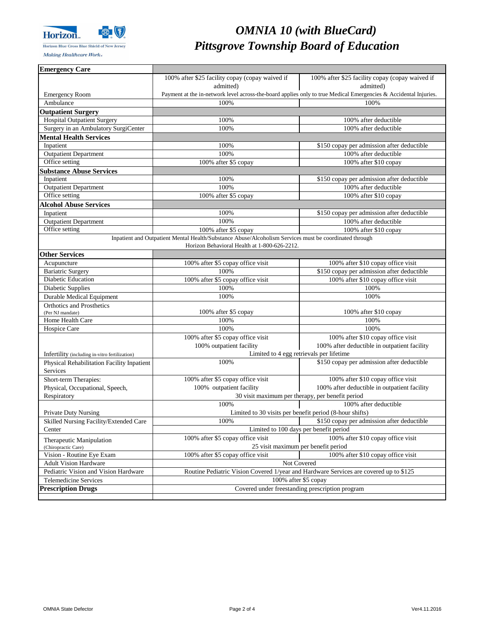

Making Healthcare Work«

# *OMNIA 10 (with BlueCard) Pittsgrove Township Board of Education*

| <b>Emergency Care</b>                             |                                                                                                        |                                                                                                                  |
|---------------------------------------------------|--------------------------------------------------------------------------------------------------------|------------------------------------------------------------------------------------------------------------------|
|                                                   | 100% after \$25 facility copay (copay waived if                                                        | 100% after \$25 facility copay (copay waived if                                                                  |
|                                                   | admitted)                                                                                              | admitted)                                                                                                        |
| <b>Emergency Room</b>                             |                                                                                                        | Payment at the in-network level across-the-board applies only to true Medical Emergencies & Accidental Injuries. |
| Ambulance                                         | 100%                                                                                                   | 100%                                                                                                             |
| <b>Outpatient Surgery</b>                         |                                                                                                        |                                                                                                                  |
| <b>Hospital Outpatient Surgery</b>                | 100%                                                                                                   | 100% after deductible                                                                                            |
| Surgery in an Ambulatory SurgiCenter              | 100%                                                                                                   | 100% after deductible                                                                                            |
| <b>Mental Health Services</b>                     |                                                                                                        |                                                                                                                  |
| Inpatient                                         | 100%                                                                                                   | \$150 copay per admission after deductible                                                                       |
| <b>Outpatient Department</b>                      | 100%                                                                                                   | 100% after deductible                                                                                            |
| Office setting                                    | 100% after \$5 copay                                                                                   | 100% after \$10 copay                                                                                            |
| <b>Substance Abuse Services</b>                   |                                                                                                        |                                                                                                                  |
| Inpatient                                         | 100%                                                                                                   | \$150 copay per admission after deductible                                                                       |
| <b>Outpatient Department</b>                      | 100%                                                                                                   | 100% after deductible                                                                                            |
| Office setting                                    | 100% after \$5 copay                                                                                   | 100% after \$10 copay                                                                                            |
| <b>Alcohol Abuse Services</b>                     |                                                                                                        |                                                                                                                  |
| Inpatient                                         | 100%                                                                                                   | \$150 copay per admission after deductible                                                                       |
| <b>Outpatient Department</b>                      | 100%                                                                                                   | 100% after deductible                                                                                            |
| Office setting                                    | 100% after \$5 copay                                                                                   | 100% after \$10 copay                                                                                            |
|                                                   | Inpatient and Outpatient Mental Health/Substance Abuse/Alcoholism Services must be coordinated through |                                                                                                                  |
|                                                   | Horizon Behavioral Health at 1-800-626-2212.                                                           |                                                                                                                  |
| <b>Other Services</b>                             |                                                                                                        |                                                                                                                  |
| Acupuncture                                       | 100% after \$5 copay office visit                                                                      | 100% after \$10 copay office visit                                                                               |
| <b>Bariatric Surgery</b>                          | 100%                                                                                                   | \$150 copay per admission after deductible                                                                       |
| <b>Diabetic Education</b>                         | 100% after \$5 copay office visit                                                                      | 100% after \$10 copay office visit                                                                               |
| Diabetic Supplies                                 | 100%                                                                                                   | 100%                                                                                                             |
| <b>Durable Medical Equipment</b>                  | 100%                                                                                                   | 100%                                                                                                             |
| <b>Orthotics and Prosthetics</b>                  |                                                                                                        |                                                                                                                  |
| (Per NJ mandate)                                  | 100% after \$5 copay                                                                                   | 100% after \$10 copay                                                                                            |
| Home Health Care                                  | 100%                                                                                                   | 100%                                                                                                             |
| Hospice Care                                      | 100%                                                                                                   | 100%                                                                                                             |
|                                                   | 100% after \$5 copay office visit                                                                      | 100% after \$10 copay office visit                                                                               |
|                                                   | 100% outpatient facility                                                                               | 100% after deductible in outpatient facility                                                                     |
| Infertility (including in-vitro fertilization)    |                                                                                                        | Limited to 4 egg retrievals per lifetime                                                                         |
| <b>Physical Rehabilitation Facility Inpatient</b> | 100%                                                                                                   | \$150 copay per admission after deductible                                                                       |
| Services                                          |                                                                                                        |                                                                                                                  |
| Short-term Therapies:                             | 100% after \$5 copay office visit                                                                      | 100% after \$10 copay office visit                                                                               |
| Physical, Occupational, Speech,                   | 100% outpatient facility                                                                               | 100% after deductible in outpatient facility                                                                     |
| Respiratory                                       | 30 visit maximum per therapy, per benefit period                                                       |                                                                                                                  |
|                                                   | 100%                                                                                                   | 100% after deductible                                                                                            |
| <b>Private Duty Nursing</b>                       |                                                                                                        | Limited to 30 visits per benefit period (8-hour shifts)                                                          |
| Skilled Nursing Facility/Extended Care            | 100%                                                                                                   | \$150 copay per admission after deductible                                                                       |
| Center                                            |                                                                                                        | Limited to 100 days per benefit period                                                                           |
| Therapeutic Manipulation                          | 100% after \$5 copay office visit                                                                      | 100% after \$10 copay office visit                                                                               |
| (Chiropractic Care)                               |                                                                                                        | 25 visit maximum per benefit period                                                                              |
| Vision - Routine Eye Exam                         | 100% after \$5 copay office visit<br>100% after \$10 copay office visit                                |                                                                                                                  |
| <b>Adult Vision Hardware</b>                      | Not Covered                                                                                            |                                                                                                                  |
| Pediatric Vision and Vision Hardware              | Routine Pediatric Vision Covered 1/year and Hardware Services are covered up to \$125                  |                                                                                                                  |
| <b>Telemedicine Services</b>                      | 100% after \$5 copay                                                                                   |                                                                                                                  |
| <b>Prescription Drugs</b>                         | Covered under freestanding prescription program                                                        |                                                                                                                  |
|                                                   |                                                                                                        |                                                                                                                  |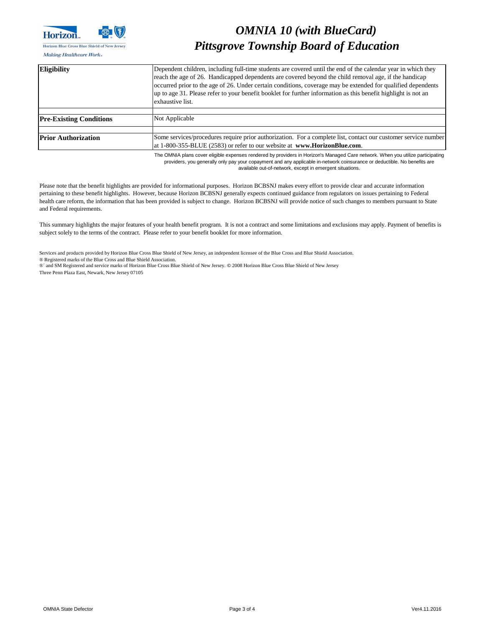

Making Healthcare Work«

### *OMNIA 10 (with BlueCard) Pittsgrove Township Board of Education*

Services and products provided by Horizon Blue Cross Blue Shield of New Jersey, an independent licensee of the Blue Cross and Blue Shield Association. ® Registered marks of the Blue Cross and Blue Shield Association.

®´ and SM Registered and service marks of Horizon Blue Cross Blue Shield of New Jersey. **©** 2008 Horizon Blue Cross Blue Shield of New Jersey Three Penn Plaza East, Newark, New Jersey 07105

The OMNIA plans cover eligible expenses rendered by providers in Horizon's Managed Care network. When you utilize participating providers, you generally only pay your copayment and any applicable in-network coinsurance or deductible. No benefits are available out-of-network, except in emergent situations.

| Eligibility                    | Dependent children, including full-time students are covered until the end of the calendar year in which they<br>reach the age of 26. Handicapped dependents are covered beyond the child removal age, if the handicap<br>occurred prior to the age of 26. Under certain conditions, coverage may be extended for qualified dependents<br>up to age 31. Please refer to your benefit booklet for further information as this benefit highlight is not an<br>exhaustive list. |
|--------------------------------|------------------------------------------------------------------------------------------------------------------------------------------------------------------------------------------------------------------------------------------------------------------------------------------------------------------------------------------------------------------------------------------------------------------------------------------------------------------------------|
| <b>Pre-Existing Conditions</b> | Not Applicable                                                                                                                                                                                                                                                                                                                                                                                                                                                               |
| <b>Prior Authorization</b>     | Some services/procedures require prior authorization. For a complete list, contact our customer service number<br>at 1-800-355-BLUE (2583) or refer to our website at www.HorizonBlue.com.                                                                                                                                                                                                                                                                                   |

Please note that the benefit highlights are provided for informational purposes. Horizon BCBSNJ makes every effort to provide clear and accurate information pertaining to these benefit highlights. However, because Horizon BCBSNJ generally expects continued guidance from regulators on issues pertaining to Federal health care reform, the information that has been provided is subject to change. Horizon BCBSNJ will provide notice of such changes to members pursuant to State and Federal requirements.

This summary highlights the major features of your health benefit program. It is not a contract and some limitations and exclusions may apply. Payment of benefits is subject solely to the terms of the contract. Please refer to your benefit booklet for more information.